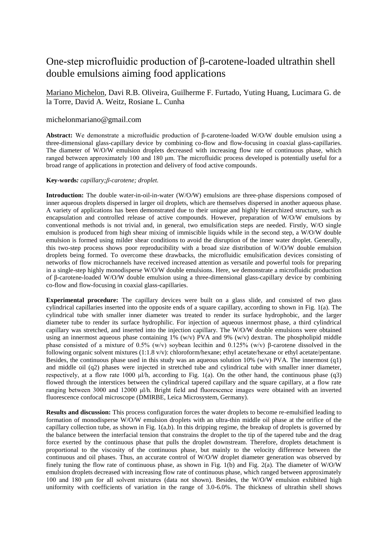## One-step microfluidic production of β-carotene-loaded ultrathin shell double emulsions aiming food applications

Mariano Michelon, Davi R.B. Oliveira, Guilherme F. Furtado, Yuting Huang, Lucimara G. de la Torre, David A. Weitz, Rosiane L. Cunha

## michelonmariano@gmail.com

**Abstract:** We demonstrate a microfluidic production of β-carotene-loaded W/O/W double emulsion using a three-dimensional glass-capillary device by combining co-flow and flow-focusing in coaxial glass-capillaries. The diameter of W/O/W emulsion droplets decreased with increasing flow rate of continuous phase, which ranged between approximately 100 and 180 μm. The microfluidic process developed is potentially useful for a broad range of applications in protection and delivery of food active compounds.

## **Key-words***: capillary;β-carotene; droplet.*

**Introduction:** The double water-in-oil-in-water (W/O/W) emulsions are three-phase dispersions composed of inner aqueous droplets dispersed in larger oil droplets, which are themselves dispersed in another aqueous phase. A variety of applications has been demonstrated due to their unique and highly hierarchized structure, such as encapsulation and controlled release of active compounds. However, preparation of W/O/W emulsions by conventional methods is not trivial and, in general, two emulsification steps are needed. Firstly, W/O single emulsion is produced from high shear mixing of immiscible liquids while in the second step, a W/O/W double emulsion is formed using milder shear conditions to avoid the disruption of the inner water droplet. Generally, this two-step process shows poor reproducibility with a broad size distribution of W/O/W double emulsion droplets being formed. To overcome these drawbacks, the microfluidic emulsification devices consisting of networks of flow microchannels have received increased attention as versatile and powerful tools for preparing in a single-step highly monodisperse W/O/W double emulsions. Here, we demonstrate a microfluidic production of β-carotene-loaded W/O/W double emulsion using a three-dimensional glass-capillary device by combining co-flow and flow-focusing in coaxial glass-capillaries.

**Experimental procedure:** The capillary devices were built on a glass slide, and consisted of two glass cylindrical capillaries inserted into the opposite ends of a square capillary, according to shown in Fig. 1(a). The cylindrical tube with smaller inner diameter was treated to render its surface hydrophobic, and the larger diameter tube to render its surface hydrophilic. For injection of aqueous innermost phase, a third cylindrical capillary was stretched, and inserted into the injection capillary. The W/O/W double emulsions were obtained using an innermost aqueous phase containing 1% (w/v) PVA and 9% (w/v) dextran. The phospholipid middle phase consisted of a mixture of 0.5% (w/v) soybean lecithin and 0.125% (w/v) β-carotene dissolved in the following organic solvent mixtures (1:1.8 v/v): chloroform/hexane; ethyl acetate/hexane or ethyl acetate/pentane. Besides, the continuous phase used in this study was an aqueous solution 10% (w/v) PVA. The innermost (q1) and middle oil (q2) phases were injected in stretched tube and cylindrical tube with smaller inner diameter, respectively, at a flow rate 1000 μl/h, according to Fig. 1(a). On the other hand, the continuous phase (q3) flowed through the interstices between the cylindrical tapered capillary and the square capillary, at a flow rate ranging between 3000 and 12000 μl/h. Bright field and fluorescence images were obtained with an inverted fluorescence confocal microscope (DMIRBE, Leica Microsystem, Germany).

**Results and discussion:** This process configuration forces the water droplets to become re-emulsified leading to formation of monodisperse W/O/W emulsion droplets with an ultra-thin middle oil phase at the orifice of the capillary collection tube, as shown in Fig. 1(a,b). In this dripping regime, the breakup of droplets is governed by the balance between the interfacial tension that constrains the droplet to the tip of the tapered tube and the drag force exerted by the continuous phase that pulls the droplet downstream. Therefore, droplets detachment is proportional to the viscosity of the continuous phase, but mainly to the velocity difference between the continuous and oil phases. Thus, an accurate control of W/O/W droplet diameter generation was observed by finely tuning the flow rate of continuous phase, as shown in Fig. 1(b) and Fig. 2(a). The diameter of W/O/W emulsion droplets decreased with increasing flow rate of continuous phase, which ranged between approximately 100 and 180 μm for all solvent mixtures (data not shown). Besides, the W/O/W emulsion exhibited high uniformity with coefficients of variation in the range of 3.0-6.0%. The thickness of ultrathin shell shows